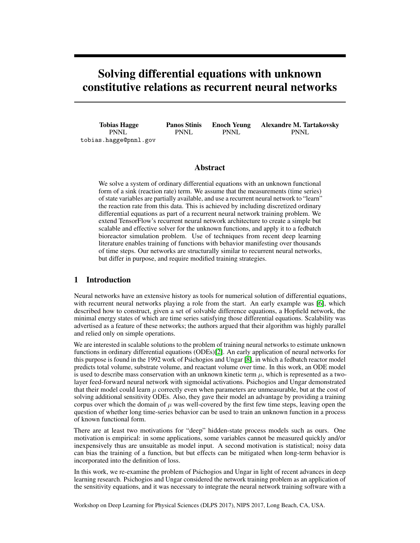# Solving differential equations with unknown constitutive relations as recurrent neural networks

Tobias Hagge PNNL tobias.hagge@pnnl.gov Panos Stinis PNNL

Enoch Yeung PNNL

Alexandre M. Tartakovsky PNNL

# Abstract

We solve a system of ordinary differential equations with an unknown functional form of a sink (reaction rate) term. We assume that the measurements (time series) of state variables are partially available, and use a recurrent neural network to "learn" the reaction rate from this data. This is achieved by including discretized ordinary differential equations as part of a recurrent neural network training problem. We extend TensorFlow's recurrent neural network architecture to create a simple but scalable and effective solver for the unknown functions, and apply it to a fedbatch bioreactor simulation problem. Use of techniques from recent deep learning literature enables training of functions with behavior manifesting over thousands of time steps. Our networks are structurally similar to recurrent neural networks, but differ in purpose, and require modified training strategies.

# 1 Introduction

Neural networks have an extensive history as tools for numerical solution of differential equations, with recurrent neural networks playing a role from the start. An early example was [\[6\]](#page-4-0), which described how to construct, given a set of solvable difference equations, a Hopfield network, the minimal energy states of which are time series satisfying those differential equations. Scalability was advertised as a feature of these networks; the authors argued that their algorithm was highly parallel and relied only on simple operations.

We are interested in scalable solutions to the problem of training neural networks to estimate unknown functions in ordinary differential equations (ODEs)[\[2\]](#page-4-1). An early application of neural networks for this purpose is found in the 1992 work of Psichogios and Ungar [\[8\]](#page-4-2), in which a fedbatch reactor model predicts total volume, substrate volume, and reactant volume over time. In this work, an ODE model is used to describe mass conservation with an unknown kinetic term  $\mu$ , which is represented as a twolayer feed-forward neural network with sigmoidal activations. Psichogios and Ungar demonstrated that their model could learn  $\mu$  correctly even when parameters are unmeasurable, but at the cost of solving additional sensitivity ODEs. Also, they gave their model an advantage by providing a training corpus over which the domain of  $\mu$  was well-covered by the first few time steps, leaving open the question of whether long time-series behavior can be used to train an unknown function in a process of known functional form.

There are at least two motivations for "deep" hidden-state process models such as ours. One motivation is empirical: in some applications, some variables cannot be measured quickly and/or inexpensively thus are unsuitable as model input. A second motivation is statistical; noisy data can bias the training of a function, but but effects can be mitigated when long-term behavior is incorporated into the definition of loss.

In this work, we re-examine the problem of Psichogios and Ungar in light of recent advances in deep learning research. Psichogios and Ungar considered the network training problem as an application of the sensitivity equations, and it was necessary to integrate the neural network training software with a

Workshop on Deep Learning for Physical Sciences (DLPS 2017), NIPS 2017, Long Beach, CA, USA.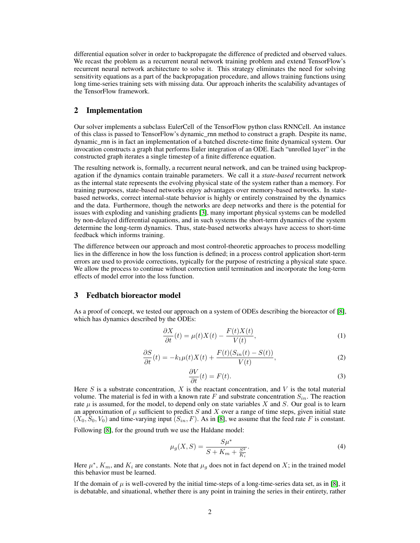differential equation solver in order to backpropagate the difference of predicted and observed values. We recast the problem as a recurrent neural network training problem and extend TensorFlow's recurrent neural network architecture to solve it. This strategy eliminates the need for solving sensitivity equations as a part of the backpropagation procedure, and allows training functions using long time-series training sets with missing data. Our approach inherits the scalability advantages of the TensorFlow framework.

### 2 Implementation

Our solver implements a subclass EulerCell of the TensorFlow python class RNNCell. An instance of this class is passed to TensorFlow's dynamic\_rnn method to construct a graph. Despite its name, dynamic\_rnn is in fact an implementation of a batched discrete-time finite dynamical system. Our invocation constructs a graph that performs Euler integration of an ODE. Each "unrolled layer" in the constructed graph iterates a single timestep of a finite difference equation.

The resulting network is, formally, a recurrent neural network, and can be trained using backpropagation if the dynamics contain trainable parameters. We call it a *state-based* recurrent network as the internal state represents the evolving physical state of the system rather than a memory. For training purposes, state-based networks enjoy advantages over memory-based networks. In statebased networks, correct internal-state behavior is highly or entirely constrained by the dynamics and the data. Furthermore, though the networks are deep networks and there is the potential for issues with exploding and vanishing gradients [\[3\]](#page-4-3), many important physical systems can be modelled by non-delayed differential equations, and in such systems the short-term dynamics of the system determine the long-term dynamics. Thus, state-based networks always have access to short-time feedback which informs training.

The difference between our approach and most control-theoretic approaches to process modelling lies in the difference in how the loss function is defined; in a process control application short-term errors are used to provide corrections, typically for the purpose of restricting a physical state space. We allow the process to continue without correction until termination and incorporate the long-term effects of model error into the loss function.

#### 3 Fedbatch bioreactor model

As a proof of concept, we tested our approach on a system of ODEs describing the bioreactor of [\[8\]](#page-4-2), which has dynamics described by the ODEs:

$$
\frac{\partial X}{\partial t}(t) = \mu(t)X(t) - \frac{F(t)X(t)}{V(t)},\tag{1}
$$

$$
\frac{\partial S}{\partial t}(t) = -k_1 \mu(t) X(t) + \frac{F(t)(S_{in}(t) - S(t))}{V(t)},\tag{2}
$$

$$
\frac{\partial V}{\partial t}(t) = F(t). \tag{3}
$$

Here  $S$  is a substrate concentration,  $X$  is the reactant concentration, and  $V$  is the total material volume. The material is fed in with a known rate F and substrate concentration  $S_{in}$ . The reaction rate  $\mu$  is assumed, for the model, to depend only on state variables X and S. Our goal is to learn an approximation of  $\mu$  sufficient to predict S and X over a range of time steps, given initial state  $(X_0, S_0, V_0)$  and time-varying input  $(S_{in}, F)$ . As in [\[8\]](#page-4-2), we assume that the feed rate F is constant.

Following [\[8\]](#page-4-2), for the ground truth we use the Haldane model:

$$
\mu_g(X, S) = \frac{S\mu^*}{S + K_m + \frac{S^2}{K_i}}.\tag{4}
$$

Here  $\mu^*$ ,  $K_m$ , and  $K_i$  are constants. Note that  $\mu_g$  does not in fact depend on X; in the trained model this behavior must be learned.

If the domain of  $\mu$  is well-covered by the initial time-steps of a long-time-series data set, as in [\[8\]](#page-4-2), it is debatable, and situational, whether there is any point in training the series in their entirety, rather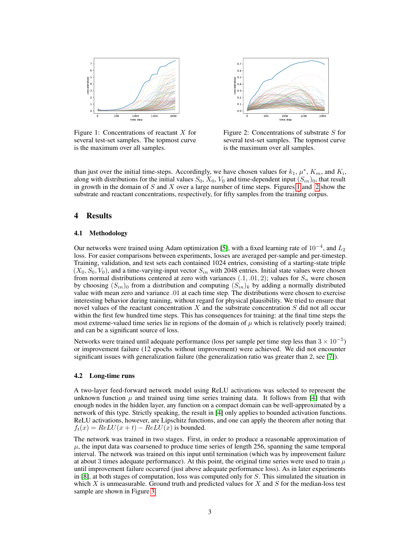

<span id="page-2-0"></span>Figure 1: Concentrations of reactant  $X$  for several test-set samples. The topmost curve is the maximum over all samples.



<span id="page-2-1"></span>Figure 2: Concentrations of substrate  $S$  for several test-set samples. The topmost curve is the maximum over all samples.

than just over the initial time-steps. Accordingly, we have chosen values for  $k_1, \mu^*, K_m$ , and  $K_i$ , along with distributions for the initial values  $S_0$ ,  $X_0$ ,  $V_0$  and time-dependent input  $(S_{in})_0$ , that result in growth in the domain of  $S$  and  $X$  over a large number of time steps. Figures [1](#page-2-0) and [2](#page-2-1) show the substrate and reactant concentrations, respectively, for fifty samples from the training corpus.

### 4 Results

#### 4.1 Methodology

Our networks were trained using Adam optimization [\[5\]](#page-4-4), with a fixed learning rate of  $10^{-4}$ , and  $L_2$ loss. For easier comparisons between experiments, losses are averaged per-sample and per-timestep. Training, validation, and test sets each contained 1024 entries, consisting of a starting-state triple  $(X_0, S_0, V_0)$ , and a time-varying-input vector  $S_{in}$  with 2048 entries. Initial state values were chosen from normal distributions centered at zero with variances  $(0.1, 0.01, 2)$ ; values for  $S_n$  were chosen by choosing  $(S_{in})_0$  from a distribution and computing  $(S_{in})_k$  by adding a normally distributed value with mean zero and variance .01 at each time step. The distributions were chosen to exercise interesting behavior during training, without regard for physical plausibility. We tried to ensure that novel values of the reactant concentration  $X$  and the substrate concentration  $S$  did not all occur within the first few hundred time steps. This has consequences for training: at the final time steps the most extreme-valued time series lie in regions of the domain of  $\mu$  which is relatively poorly trained; and can be a significant source of loss.

Networks were trained until adequate performance (loss per sample per time step less than  $3 \times 10^{-5}$ ) or improvement failure (12 epochs without improvement) were achieved. We did not encounter significant issues with generalization failure (the generalization ratio was greater than 2, see [\[7\]](#page-4-5)).

#### 4.2 Long-time runs

A two-layer feed-forward network model using ReLU activations was selected to represent the unknown function  $\mu$  and trained using time series training data. It follows from [\[4\]](#page-4-6) that with enough nodes in the hidden layer, any function on a compact domain can be well-approximated by a network of this type. Strictly speaking, the result in [\[4\]](#page-4-6) only applies to bounded activation functions. ReLU activations, however, are Lipschitz functions, and one can apply the theorem after noting that  $f_t(x) = ReLU(x + t) - ReLU(x)$  is bounded.

The network was trained in two stages. First, in order to produce a reasonable approximation of  $\mu$ , the input data was coarsened to produce time series of length 256, spanning the same temporal interval. The network was trained on this input until termination (which was by improvement failure at about 3 times adequate performance). At this point, the original time series were used to train  $\mu$ until improvement failure occurred (just above adequate performance loss). As in later experiments in [\[8\]](#page-4-2), at both stages of computation, loss was computed only for S. This simulated the situation in which  $X$  is unmeasurable. Ground truth and predicted values for  $X$  and  $S$  for the median-loss test sample are shown in Figure [3.](#page-3-0)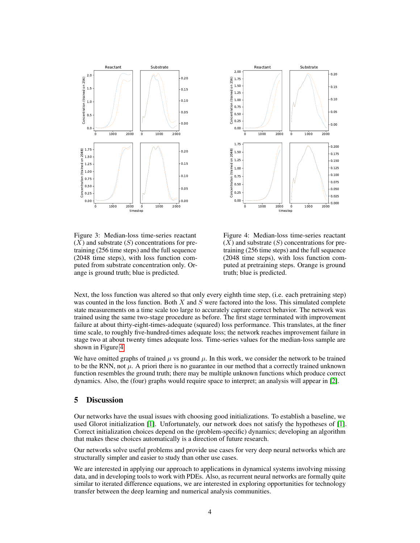



<span id="page-3-0"></span>Figure 3: Median-loss time-series reactant  $(X)$  and substrate  $(S)$  concentrations for pretraining (256 time steps) and the full sequence (2048 time steps), with loss function computed from substrate concentration only. Orange is ground truth; blue is predicted.

<span id="page-3-1"></span>Figure 4: Median-loss time-series reactant  $(X)$  and substrate  $(S)$  concentrations for pretraining (256 time steps) and the full sequence (2048 time steps), with loss function computed at pretraining steps. Orange is ground truth; blue is predicted.

Next, the loss function was altered so that only every eighth time step, (i.e. each pretraining step) was counted in the loss function. Both  $X$  and  $S$  were factored into the loss. This simulated complete state measurements on a time scale too large to accurately capture correct behavior. The network was trained using the same two-stage procedure as before. The first stage terminated with improvement failure at about thirty-eight-times-adequate (squared) loss performance. This translates, at the finer time scale, to roughly five-hundred-times adequate loss; the network reaches improvement failure in stage two at about twenty times adequate loss. Time-series values for the median-loss sample are shown in Figure [4.](#page-3-1)

We have omitted graphs of trained  $\mu$  vs ground  $\mu$ . In this work, we consider the network to be trained to be the RNN, not  $\mu$ . A priori there is no guarantee in our method that a correctly trained unknown function resembles the ground truth; there may be multiple unknown functions which produce correct dynamics. Also, the (four) graphs would require space to interpret; an analysis will appear in [\[2\]](#page-4-1).

#### 5 Discussion

Our networks have the usual issues with choosing good initializations. To establish a baseline, we used Glorot initialization [\[1\]](#page-4-7). Unfortunately, our network does not satisfy the hypotheses of [\[1\]](#page-4-7). Correct initialization choices depend on the (problem-specific) dynamics; developing an algorithm that makes these choices automatically is a direction of future research.

Our networks solve useful problems and provide use cases for very deep neural networks which are structurally simpler and easier to study than other use cases.

We are interested in applying our approach to applications in dynamical systems involving missing data, and in developing tools to work with PDEs. Also, as recurrent neural networks are formally quite similar to iterated difference equations, we are interested in exploring opportunities for technology transfer between the deep learning and numerical analysis communities.